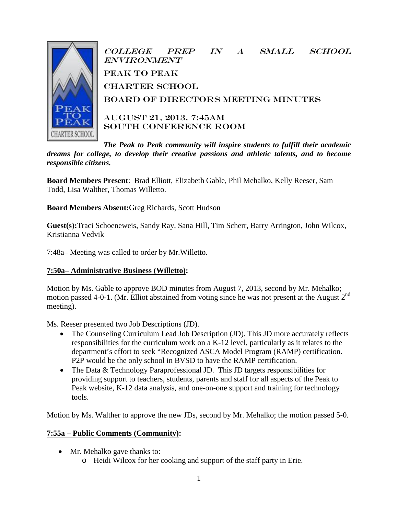

College Prep in a Small School **ENVIRONMENT** peak to Peak **CHARTER SCHOOL** Board of Directors Meeting Minutes

August 21, 2013, 7:45AM SOUTH CONFERENCE ROOM

*The Peak to Peak community will inspire students to fulfill their academic dreams for college, to develop their creative passions and athletic talents, and to become responsible citizens.*

**Board Members Present**: Brad Elliott, Elizabeth Gable, Phil Mehalko, Kelly Reeser, Sam Todd, Lisa Walther, Thomas Willetto.

**Board Members Absent:**Greg Richards, Scott Hudson

**Guest(s):**Traci Schoeneweis, Sandy Ray, Sana Hill, Tim Scherr, Barry Arrington, John Wilcox, Kristianna Vedvik

7:48a– Meeting was called to order by Mr.Willetto.

### **7:50a– Administrative Business (Willetto):**

Motion by Ms. Gable to approve BOD minutes from August 7, 2013, second by Mr. Mehalko; motion passed 4-0-1. (Mr. Elliot abstained from voting since he was not present at the August 2<sup>nd</sup> meeting).

Ms. Reeser presented two Job Descriptions (JD).

- The Counseling Curriculum Lead Job Description (JD). This JD more accurately reflects responsibilities for the curriculum work on a K-12 level, particularly as it relates to the department's effort to seek "Recognized ASCA Model Program (RAMP) certification. P2P would be the only school in BVSD to have the RAMP certification.
- The Data & Technology Paraprofessional JD. This JD targets responsibilities for providing support to teachers, students, parents and staff for all aspects of the Peak to Peak website, K-12 data analysis, and one-on-one support and training for technology tools.

Motion by Ms. Walther to approve the new JDs, second by Mr. Mehalko; the motion passed 5-0.

### **7:55a – Public Comments (Community):**

- Mr. Mehalko gave thanks to:
	- o Heidi Wilcox for her cooking and support of the staff party in Erie.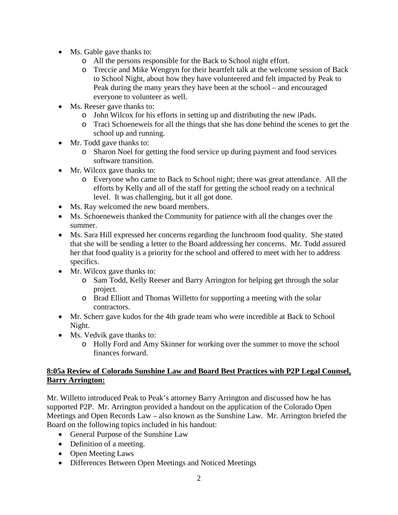- Ms. Gable gave thanks to:
	- o All the persons responsible for the Back to School night effort.
	- o Treccie and Mike Wengryn for their heartfelt talk at the welcome session of Back to School Night, about how they have volunteered and felt impacted by Peak to Peak during the many years they have been at the school – and encouraged everyone to volunteer as well.
- Ms. Reeser gave thanks to:
	- o John Wilcox for his efforts in setting up and distributing the new iPads.
	- o Traci Schoeneweis for all the things that she has done behind the scenes to get the school up and running.
- Mr. Todd gave thanks to:
	- o Sharon Noel for getting the food service up during payment and food services software transition.
- Mr. Wilcox gave thanks to:
	- o Everyone who came to Back to School night; there was great attendance. All the efforts by Kelly and all of the staff for getting the school ready on a technical level. It was challenging, but it all got done.
- Ms. Ray welcomed the new board members.
- Ms. Schoeneweis thanked the Community for patience with all the changes over the summer.
- Ms. Sara Hill expressed her concerns regarding the lunchroom food quality. She stated that she will be sending a letter to the Board addressing her concerns. Mr. Todd assured her that food quality is a priority for the school and offered to meet with her to address specifics.
- Mr. Wilcox gave thanks to:
	- o Sam Todd, Kelly Reeser and Barry Arrington for helping get through the solar project.
	- o Brad Elliott and Thomas Willetto for supporting a meeting with the solar contractors.
- Mr. Scherr gave kudos for the 4th grade team who were incredible at Back to School Night.
- Ms. Vedvik gave thanks to:
	- o Holly Ford and Amy Skinner for working over the summer to move the school finances forward.

### **8:05a Review of Colorado Sunshine Law and Board Best Practices with P2P Legal Counsel, Barry Arrington:**

Mr. Willetto introduced Peak to Peak's attorney Barry Arrington and discussed how he has supported P2P. Mr. Arrington provided a handout on the application of the Colorado Open Meetings and Open Records Law – also known as the Sunshine Law. Mr. Arrington briefed the Board on the following topics included in his handout:

- General Purpose of the Sunshine Law
- Definition of a meeting.
- Open Meeting Laws
- Differences Between Open Meetings and Noticed Meetings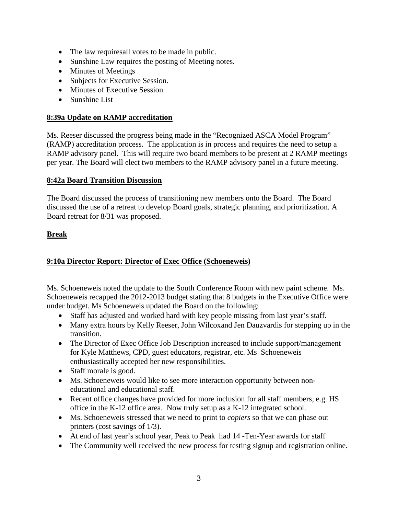- The law requiresall votes to be made in public.
- Sunshine Law requires the posting of Meeting notes.
- Minutes of Meetings
- Subjects for Executive Session.
- Minutes of Executive Session
- Sunshine List

### **8:39a Update on RAMP accreditation**

Ms. Reeser discussed the progress being made in the "Recognized ASCA Model Program" (RAMP) accreditation process. The application is in process and requires the need to setup a RAMP advisory panel. This will require two board members to be present at 2 RAMP meetings per year. The Board will elect two members to the RAMP advisory panel in a future meeting.

### **8:42a Board Transition Discussion**

The Board discussed the process of transitioning new members onto the Board. The Board discussed the use of a retreat to develop Board goals, strategic planning, and prioritization. A Board retreat for 8/31 was proposed.

### **Break**

### **9:10a Director Report: Director of Exec Office (Schoeneweis)**

Ms. Schoeneweis noted the update to the South Conference Room with new paint scheme. Ms. Schoeneweis recapped the 2012-2013 budget stating that 8 budgets in the Executive Office were under budget. Ms Schoeneweis updated the Board on the following:

- Staff has adjusted and worked hard with key people missing from last year's staff.
- Many extra hours by Kelly Reeser, John Wilcoxand Jen Dauzvardis for stepping up in the transition.
- The Director of Exec Office Job Description increased to include support/management for Kyle Matthews, CPD, guest educators, registrar, etc. Ms Schoeneweis enthusiastically accepted her new responsibilities.
- Staff morale is good.
- Ms. Schoeneweis would like to see more interaction opportunity between noneducational and educational staff.
- Recent office changes have provided for more inclusion for all staff members, e.g. HS office in the K-12 office area. Now truly setup as a K-12 integrated school.
- Ms. Schoeneweis stressed that we need to print to *copiers* so that we can phase out printers (cost savings of 1/3).
- At end of last year's school year, Peak to Peak had 14 -Ten-Year awards for staff
- The Community well received the new process for testing signup and registration online.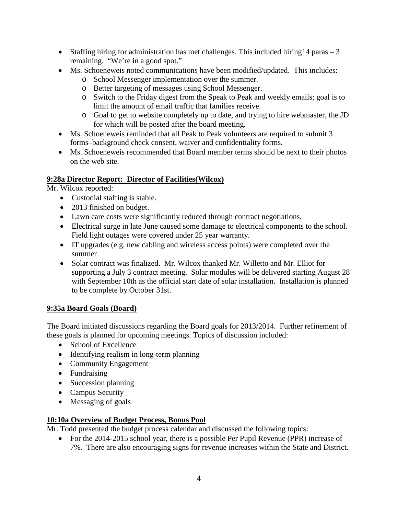- Staffing hiring for administration has met challenges. This included hiring  $14$  paras  $-3$ remaining. "We're in a good spot."
- Ms. Schoeneweis noted communications have been modified/updated. This includes:
	- o School Messenger implementation over the summer.
	- o Better targeting of messages using School Messenger.
	- o Switch to the Friday digest from the Speak to Peak and weekly emails; goal is to limit the amount of email traffic that families receive.
	- o Goal to get to website completely up to date, and trying to hire webmaster, the JD for which will be posted after the board meeting.
- Ms. Schoeneweis reminded that all Peak to Peak volunteers are required to submit 3 forms–background check consent, waiver and confidentiality forms.
- Ms. Schoeneweis recommended that Board member terms should be next to their photos on the web site.

## **9:28a Director Report: Director of Facilities(Wilcox)**

Mr. Wilcox reported:

- Custodial staffing is stable.
- 2013 finished on budget.
- Lawn care costs were significantly reduced through contract negotiations.
- Electrical surge in late June caused some damage to electrical components to the school. Field light outages were covered under 25 year warranty.
- IT upgrades (e.g. new cabling and wireless access points) were completed over the summer
- Solar contract was finalized. Mr. Wilcox thanked Mr. Willetto and Mr. Elliot for supporting a July 3 contract meeting. Solar modules will be delivered starting August 28 with September 10th as the official start date of solar installation. Installation is planned to be complete by October 31st.

# **9:35a Board Goals (Board)**

The Board initiated discussions regarding the Board goals for 2013/2014. Further refinement of these goals is planned for upcoming meetings. Topics of discussion included:

- School of Excellence
- Identifying realism in long-term planning
- Community Engagement
- Fundraising
- Succession planning
- Campus Security
- Messaging of goals

# **10:10a Overview of Budget Process, Bonus Pool**

Mr. Todd presented the budget process calendar and discussed the following topics:

• For the 2014-2015 school year, there is a possible Per Pupil Revenue (PPR) increase of 7%. There are also encouraging signs for revenue increases within the State and District.